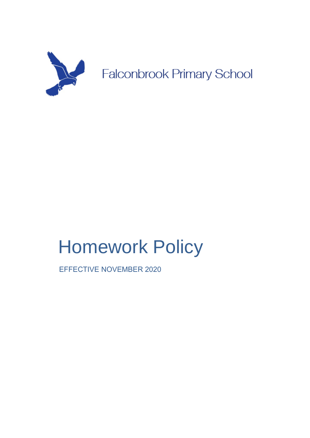

**Falconbrook Primary School** 

# Homework Policy

EFFECTIVE NOVEMBER 2020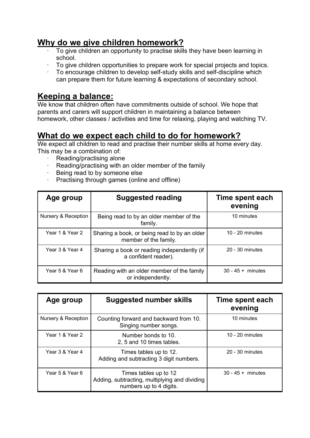#### **Why do we give children homework?**

- · To give children an opportunity to practise skills they have been learning in school.
- · To give children opportunities to prepare work for special projects and topics.
- · To encourage children to develop self-study skills and self-discipline which can prepare them for future learning & expectations of secondary school.

#### **Keeping a balance:**

We know that children often have commitments outside of school. We hope that parents and carers will support children in maintaining a balance between homework, other classes / activities and time for relaxing, playing and watching TV.

## **What do we expect each child to do for homework?**

We expect all children to read and practise their number skills at home every day. This may be a combination of:

- Reading/practising alone
- · Reading/practising with an older member of the family
- · Being read to by someone else
- · Practising through games (online and offline)

| Age group           | <b>Suggested reading</b>                                              | Time spent each<br>evening |
|---------------------|-----------------------------------------------------------------------|----------------------------|
| Nursery & Reception | Being read to by an older member of the<br>family.                    | 10 minutes                 |
| Year 1 & Year 2     | Sharing a book, or being read to by an older<br>member of the family. | 10 - 20 minutes            |
| Year 3 & Year 4     | Sharing a book or reading independently (if<br>a confident reader).   | 20 - 30 minutes            |
| Year 5 & Year 6     | Reading with an older member of the family<br>or independently.       | $30 - 45 +$ minutes        |

| Age group           | <b>Suggested number skills</b>                                                                    | Time spent each<br>evening |
|---------------------|---------------------------------------------------------------------------------------------------|----------------------------|
| Nursery & Reception | Counting forward and backward from 10.<br>Singing number songs.                                   | 10 minutes                 |
| Year 1 & Year 2     | Number bonds to 10.<br>2, 5 and 10 times tables.                                                  | 10 - 20 minutes            |
| Year 3 & Year 4     | Times tables up to 12.<br>Adding and subtracting 3 digit numbers.                                 | 20 - 30 minutes            |
| Year 5 & Year 6     | Times tables up to 12<br>Adding, subtracting, multiplying and dividing<br>numbers up to 4 digits. | $30 - 45 +$ minutes        |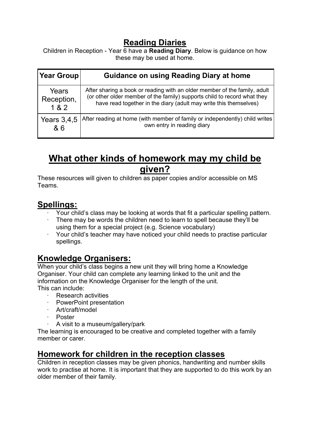#### **Reading Diaries**

Children in Reception - Year 6 have a **Reading Diary**. Below is guidance on how these may be used at home.

| Year Group    | <b>Guidance on using Reading Diary at home</b>                              |
|---------------|-----------------------------------------------------------------------------|
| Years         | After sharing a book or reading with an older member of the family, adult   |
| Reception,    | (or other older member of the family) supports child to record what they    |
| 182           | have read together in the diary (adult may write this themselves)           |
| Years $3,4,5$ | After reading at home (with member of family or independently) child writes |
| & 6           | own entry in reading diary                                                  |

# **What other kinds of homework may my child be given?**

These resources will given to children as paper copies and/or accessible on MS Teams.

#### **Spellings:**

- · Your child's class may be looking at words that fit a particular spelling pattern.
- There may be words the children need to learn to spell because they'll be using them for a special project (e.g. Science vocabulary)
- · Your child's teacher may have noticed your child needs to practise particular spellings.

#### **Knowledge Organisers:**

When your child's class begins a new unit they will bring home a Knowledge Organiser. Your child can complete any learning linked to the unit and the information on the Knowledge Organiser for the length of the unit. This can include:

- **Research activities**
- PowerPoint presentation
- Art/craft/model
- **Poster**
- A visit to a museum/gallery/park

The learning is encouraged to be creative and completed together with a family member or carer.

#### **Homework for children in the reception classes**

Children in reception classes may be given phonics, handwriting and number skills work to practise at home. It is important that they are supported to do this work by an older member of their family.